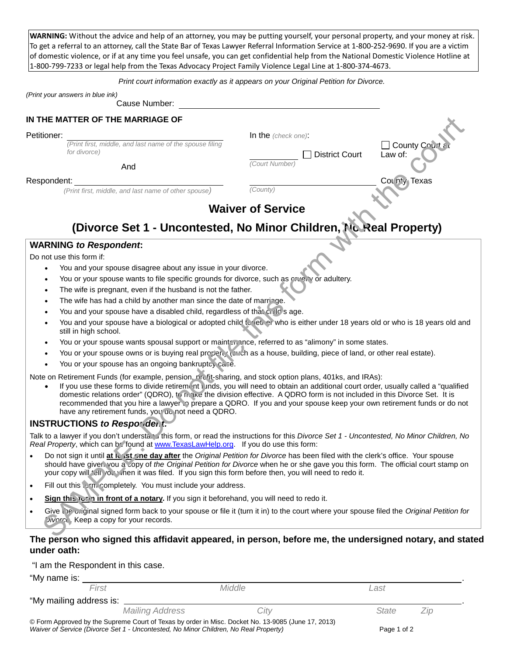**WARNING:** Without the advice and help of an attorney, you may be putting yourself, your personal property, and your money at risk. To get a referral to an attorney, call the State Bar of Texas Lawyer Referral Information Service at 1-800-252-9690. If you are a victim of domestic violence, or if at any time you feel unsafe, you can get confidential help from the National Domestic Violence Hotline at 1-800-799-7233 or legal help from the Texas Advocacy Project Family Violence Legal Line at 1-800-374-4673.

## *Print court information exactly as it appears on your Original Petition for Divorce.*

*(Print your answers in blue ink)*

## Cause Number:

# **IN THE MATTER OF THE MARRIAGE OF**

#### Petitioner: In the *(check one)*:

*(Print first, middle, and last name of the spouse filing for divorce*) **□** District Court

And **And** *Court Number* 

### $\mathsf{Respondent}\colon$   $\mathsf{Coulpt}\n$   $\mathsf{Coulpt}\n$   $\mathsf{Coulpt}\n$   $\mathsf{Coulpt}\n$   $\mathsf{Coulpt}\n$   $\mathsf{Coulpt}\n$

 *(Print first, middle, and last name of other spouse) (County)*

# **Waiver of Service**

# **(Divorce Set 1 - Uncontested, No Minor Children, No Real Property)**

## **WARNING** *to Respondent***:**

Do not use this form if:

- You and your spouse disagree about any issue in your divorce.
- You or your spouse wants to file specific grounds for divorce, such as cruelly or adultery.
- The wife is pregnant, even if the husband is not the father.
- The wife has had a child by another man since the date of marriage.
- You and your spouse have a disabled child, regardless of that child's age.
- You and your spouse have a biological or adopted child to ether who is either under 18 years old or who is 18 years old and still in high school.
- You or your spouse wants spousal support or maintenance, referred to as "alimony" in some states.
- You or your spouse owns or is buying real property (such as a house, building, piece of land, or other real estate).
- You or your spouse has an ongoing bankruptcy case.

Note on Retirement Funds (for example, pension, prefit-sharing, and stock option plans, 401ks, and IRAs):

If you use these forms to divide retirement it unds, you will need to obtain an additional court order, usually called a "qualified" domestic relations order" (QDRO), to make the division effective. A QDRO form is not included in this Divorce Set. It is recommended that you hire a lawyer to prepare a QDRO. If you and your spouse keep your own retirement funds or do not have any retirement funds, you ac not need a QDRO. HE MATTER OF THE MARRIAGE OF<br>
So allows the court of the court of the court of the court of the court of the court of the court of the court<br>
So allows the court of the court of the court of the court of the court of the

# **INSTRUCTIONS** *to Respondent:*

Talk to a lawyer if you don't understa. I this form, or read the instructions for this *Divorce Set 1 - Uncontested, No Minor Children, No Real Property*, which can be found at www.TexasLawHelp.org. If you do use this form:

- Do not sign it until **at least one day after** the *Original Petition for Divorce* has been filed with the clerk's office. Your spouse should have given you a copy of the *Original Petition for Divorce* when he or she gave you this form. The official court stamp on your copy will fell you when it was filed. If you sign this form before then, you will need to redo it.
- Fill out this completely. You must include your address.
- **Sign this form in front of a notary.** If you sign it beforehand, you will need to redo it.
- Give the original signed form back to your spouse or file it (turn it in) to the court where your spouse filed the *Original Petition for Divorce*. Keep a copy for your records.

# **The person who signed this affidavit appeared, in person, before me, the undersigned notary, and stated under oath:**

"I am the Respondent in this case.

*First Middle Last*

"My mailing address is: .

*Mailing Address City State Zip*

 $\Box$  County Court

Law of:

© Form Approved by the Supreme Court of Texas by order in Misc. Docket No. 13-9085 (June 17, 2013) Waiver of Service (Divorce Set 1 - Uncontested, No Minor Children, No Real Property) Page 1 of 2